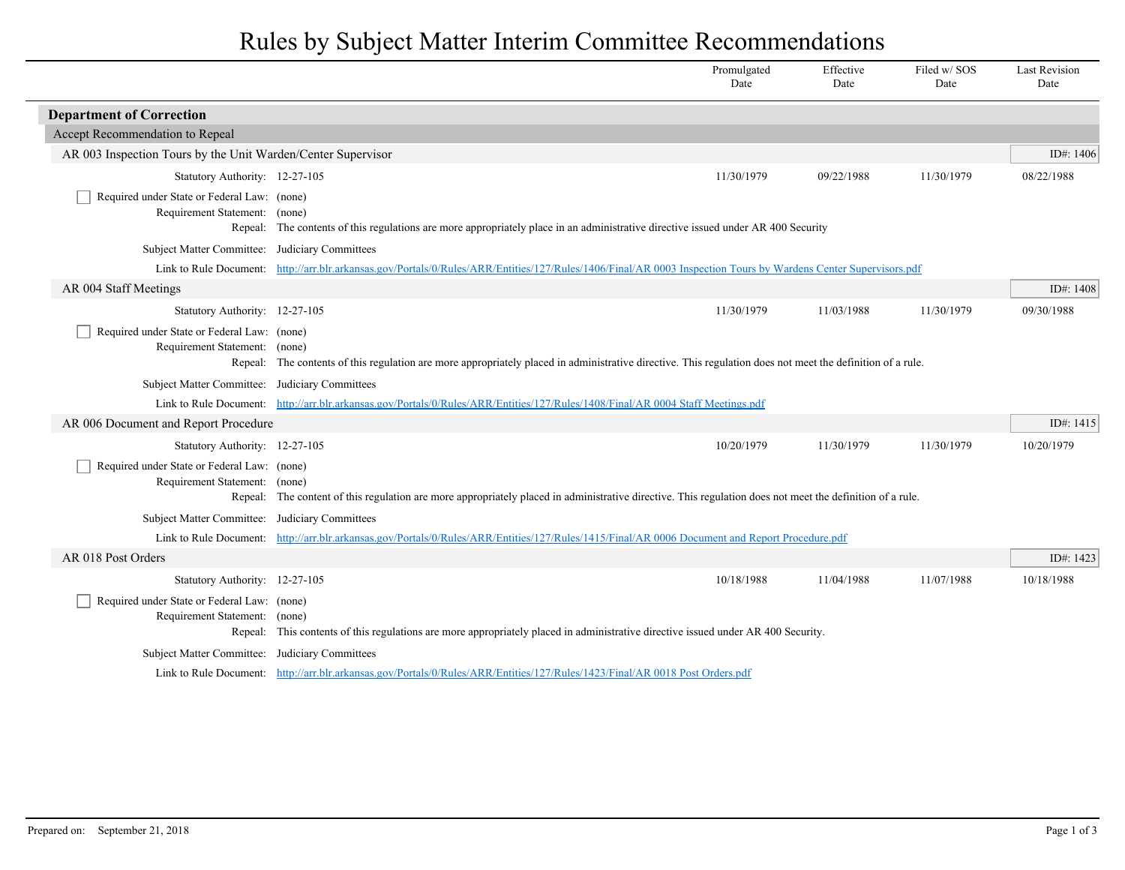## Rules by Subject Matter Interim Committee Recommendations

|                                                                              |                                                                                                                                                                                                  | Promulgated<br>Date | Effective<br>Date | Filed w/SOS<br>Date | <b>Last Revision</b><br>Date |
|------------------------------------------------------------------------------|--------------------------------------------------------------------------------------------------------------------------------------------------------------------------------------------------|---------------------|-------------------|---------------------|------------------------------|
| <b>Department of Correction</b>                                              |                                                                                                                                                                                                  |                     |                   |                     |                              |
| Accept Recommendation to Repeal                                              |                                                                                                                                                                                                  |                     |                   |                     |                              |
| AR 003 Inspection Tours by the Unit Warden/Center Supervisor                 |                                                                                                                                                                                                  |                     |                   |                     | ID#: 1406                    |
| Statutory Authority: 12-27-105                                               |                                                                                                                                                                                                  | 11/30/1979          | 09/22/1988        | 11/30/1979          | 08/22/1988                   |
| Required under State or Federal Law: (none)<br>Requirement Statement: (none) | Repeal: The contents of this regulations are more appropriately place in an administrative directive issued under AR 400 Security                                                                |                     |                   |                     |                              |
| Subject Matter Committee: Judiciary Committees                               |                                                                                                                                                                                                  |                     |                   |                     |                              |
|                                                                              | Link to Rule Document: http://arr.blr.arkansas.gov/Portals/0/Rules/ARR/Entities/127/Rules/1406/Final/AR 0003 Inspection Tours by Wardens Center Supervisors.pdf                                  |                     |                   |                     |                              |
| AR 004 Staff Meetings                                                        |                                                                                                                                                                                                  |                     |                   |                     | ID#: 1408                    |
| Statutory Authority: 12-27-105                                               |                                                                                                                                                                                                  | 11/30/1979          | 11/03/1988        | 11/30/1979          | 09/30/1988                   |
| Required under State or Federal Law: (none)<br>Requirement Statement: (none) | Repeal: The contents of this regulation are more appropriately placed in administrative directive. This regulation does not meet the definition of a rule.                                       |                     |                   |                     |                              |
| Subject Matter Committee: Judiciary Committees                               |                                                                                                                                                                                                  |                     |                   |                     |                              |
|                                                                              | Link to Rule Document: http://arr.blr.arkansas.gov/Portals/0/Rules/ARR/Entities/127/Rules/1408/Final/AR 0004 Staff Meetings.pdf                                                                  |                     |                   |                     |                              |
| AR 006 Document and Report Procedure                                         |                                                                                                                                                                                                  |                     |                   |                     | ID#: 1415                    |
| Statutory Authority: 12-27-105                                               |                                                                                                                                                                                                  | 10/20/1979          | 11/30/1979        | 11/30/1979          | 10/20/1979                   |
| Required under State or Federal Law: (none)<br>Requirement Statement: (none) | Repeal: The content of this regulation are more appropriately placed in administrative directive. This regulation does not meet the definition of a rule.                                        |                     |                   |                     |                              |
|                                                                              |                                                                                                                                                                                                  |                     |                   |                     |                              |
|                                                                              | Subject Matter Committee: Judiciary Committees<br>Link to Rule Document: http://arr.blr.arkansas.gov/Portals/0/Rules/ARR/Entities/127/Rules/1415/Final/AR 0006 Document and Report Procedure.pdf |                     |                   |                     |                              |
| AR 018 Post Orders                                                           |                                                                                                                                                                                                  |                     |                   |                     | ID#: 1423                    |
| Statutory Authority: 12-27-105                                               |                                                                                                                                                                                                  | 10/18/1988          | 11/04/1988        | 11/07/1988          | 10/18/1988                   |
| Required under State or Federal Law: (none)<br>Requirement Statement: (none) | Repeal: This contents of this regulations are more appropriately placed in administrative directive issued under AR 400 Security.                                                                |                     |                   |                     |                              |
| Subject Matter Committee: Judiciary Committees                               |                                                                                                                                                                                                  |                     |                   |                     |                              |
|                                                                              | Link to Rule Document: http://arr.blr.arkansas.gov/Portals/0/Rules/ARR/Entities/127/Rules/1423/Final/AR 0018 Post Orders.pdf                                                                     |                     |                   |                     |                              |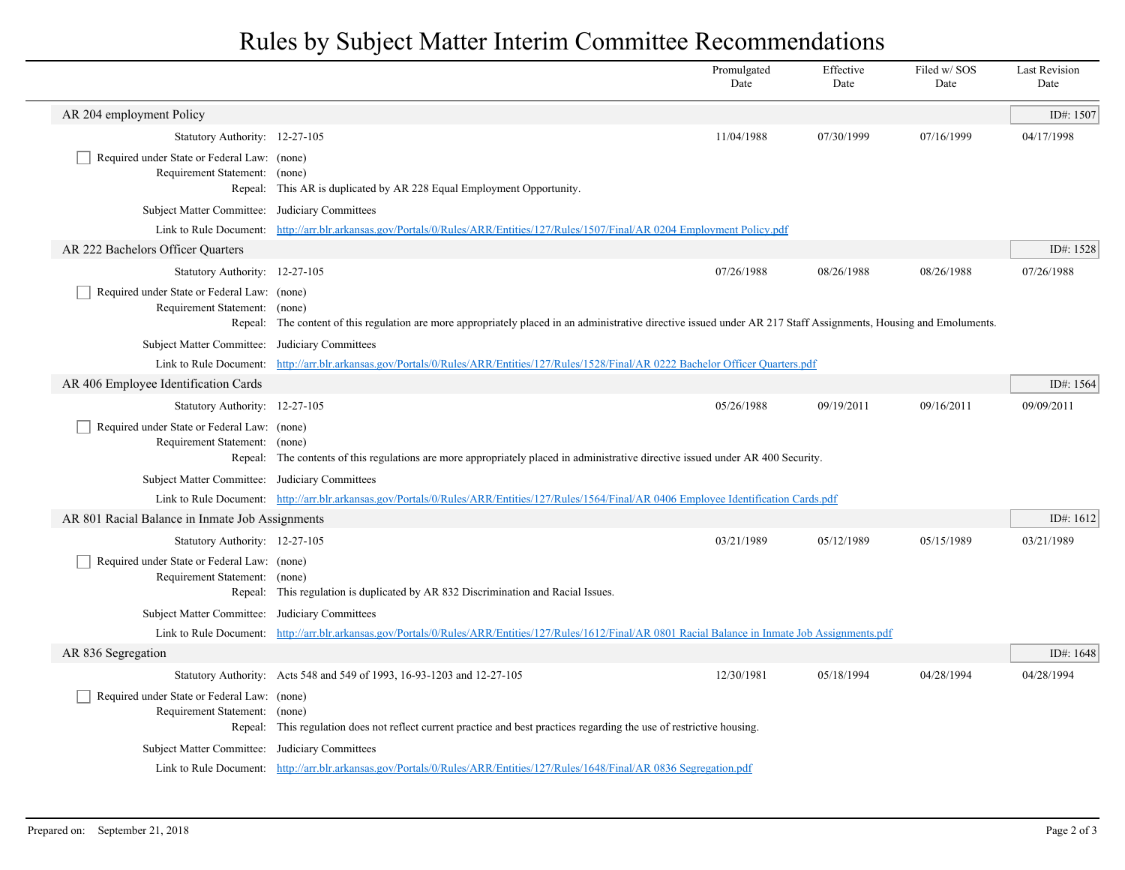## Rules by Subject Matter Interim Committee Recommendations

|                                                                              |                                                                                                                                                                    | Promulgated<br>Date | Effective<br>Date | Filed w/SOS<br>Date | <b>Last Revision</b><br>Date |
|------------------------------------------------------------------------------|--------------------------------------------------------------------------------------------------------------------------------------------------------------------|---------------------|-------------------|---------------------|------------------------------|
| AR 204 employment Policy                                                     |                                                                                                                                                                    |                     |                   |                     | ID#: 1507                    |
| Statutory Authority: 12-27-105                                               |                                                                                                                                                                    | 11/04/1988          | 07/30/1999        | 07/16/1999          | 04/17/1998                   |
| Required under State or Federal Law: (none)<br>Requirement Statement: (none) | Repeal: This AR is duplicated by AR 228 Equal Employment Opportunity.                                                                                              |                     |                   |                     |                              |
| Subject Matter Committee: Judiciary Committees                               |                                                                                                                                                                    |                     |                   |                     |                              |
|                                                                              | Link to Rule Document: http://arr.blr.arkansas.gov/Portals/0/Rules/ARR/Entities/127/Rules/1507/Final/AR 0204 Employment Policy.pdf                                 |                     |                   |                     |                              |
| AR 222 Bachelors Officer Quarters                                            |                                                                                                                                                                    |                     |                   |                     | ID#: 1528                    |
| Statutory Authority: 12-27-105                                               |                                                                                                                                                                    | 07/26/1988          | 08/26/1988        | 08/26/1988          | 07/26/1988                   |
| Required under State or Federal Law: (none)<br>Requirement Statement: (none) | Repeal: The content of this regulation are more appropriately placed in an administrative directive issued under AR 217 Staff Assignments, Housing and Emoluments. |                     |                   |                     |                              |
| Subject Matter Committee: Judiciary Committees                               |                                                                                                                                                                    |                     |                   |                     |                              |
|                                                                              | Link to Rule Document: http://arr.blr.arkansas.gov/Portals/0/Rules/ARR/Entities/127/Rules/1528/Final/AR 0222 Bachelor Officer Quarters.pdf                         |                     |                   |                     |                              |
| AR 406 Employee Identification Cards                                         |                                                                                                                                                                    |                     |                   |                     | ID#: 1564                    |
| Statutory Authority: 12-27-105                                               |                                                                                                                                                                    | 05/26/1988          | 09/19/2011        | 09/16/2011          | 09/09/2011                   |
| Required under State or Federal Law: (none)<br>Requirement Statement: (none) | Repeal: The contents of this regulations are more appropriately placed in administrative directive issued under AR 400 Security.                                   |                     |                   |                     |                              |
| Subject Matter Committee: Judiciary Committees                               |                                                                                                                                                                    |                     |                   |                     |                              |
|                                                                              | Link to Rule Document: http://arr.blr.arkansas.gov/Portals/0/Rules/ARR/Entities/127/Rules/1564/Final/AR 0406 Employee Identification Cards.pdf                     |                     |                   |                     |                              |
| AR 801 Racial Balance in Inmate Job Assignments                              |                                                                                                                                                                    |                     |                   |                     | ID#: 1612                    |
| Statutory Authority: 12-27-105                                               |                                                                                                                                                                    | 03/21/1989          | 05/12/1989        | 05/15/1989          | 03/21/1989                   |
| Required under State or Federal Law: (none)<br>Requirement Statement:        | (none)<br>Repeal: This regulation is duplicated by AR 832 Discrimination and Racial Issues.                                                                        |                     |                   |                     |                              |
| Subject Matter Committee: Judiciary Committees                               |                                                                                                                                                                    |                     |                   |                     |                              |
|                                                                              | Link to Rule Document: http://arr.blr.arkansas.gov/Portals/0/Rules/ARR/Entities/127/Rules/1612/Final/AR 0801 Racial Balance in Inmate Job Assignments.pdf          |                     |                   |                     |                              |
| AR 836 Segregation                                                           |                                                                                                                                                                    |                     |                   |                     | ID#: 1648                    |
|                                                                              | Statutory Authority: Acts 548 and 549 of 1993, 16-93-1203 and 12-27-105                                                                                            | 12/30/1981          | 05/18/1994        | 04/28/1994          | 04/28/1994                   |
| Required under State or Federal Law: (none)<br>Requirement Statement:        | (none)<br>Repeal: This regulation does not reflect current practice and best practices regarding the use of restrictive housing.                                   |                     |                   |                     |                              |
| Subject Matter Committee: Judiciary Committees                               |                                                                                                                                                                    |                     |                   |                     |                              |
|                                                                              | Link to Rule Document: http://arr.blr.arkansas.gov/Portals/0/Rules/ARR/Entities/127/Rules/1648/Final/AR 0836 Segregation.pdf                                       |                     |                   |                     |                              |